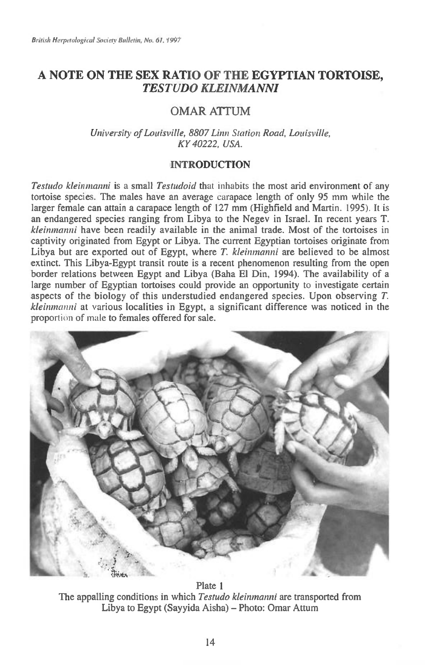## **A NOTE ON THE SEX RATIO OF THE EGYPTIAN TORTOISE,**  *TESTUDO KLEINMANNI*

# **OMAR ATTUM**

*University of Louisville, 8807 Linn Station Road, Louisville, KY 40222, USA.* 

## INTRODUCTION

*Testudo kleinmanni is* a small *Testudoid* that inhabits the most arid environment of any tortoise species. The males have an average carapace length of only 95 mm while the larger female can attain a carapace length of 127 mm (Highfield and Martin. 1995). It is an endangered species ranging from Libya to the Negev in Israel. In recent years T. *kleinmanni* have been readily available in the animal trade. Most of the tortoises in captivity originated from Egypt or Libya. The current Egyptian tortoises originate from Libya but are exported out of Egypt, where *T. kleinmanni* are believed to be almost extinct. This Libya-Egypt transit route is a recent phenomenon resulting from the open border relations between Egypt and Libya (Baha El Din, 1994). The availability of a large number of Egyptian tortoises could provide an opportunity to investigate certain aspects of the biology of this understudied endangered species. Upon observing  $T$ . *kleinmanni* at various localities in Egypt, a significant difference was noticed in the proportion of male to females offered for sale.



Plate 1 The appalling conditions in which *Testudo kleinmanni* are transported from Libya to Egypt (Sayyida Aisha) — Photo: Omar Attum